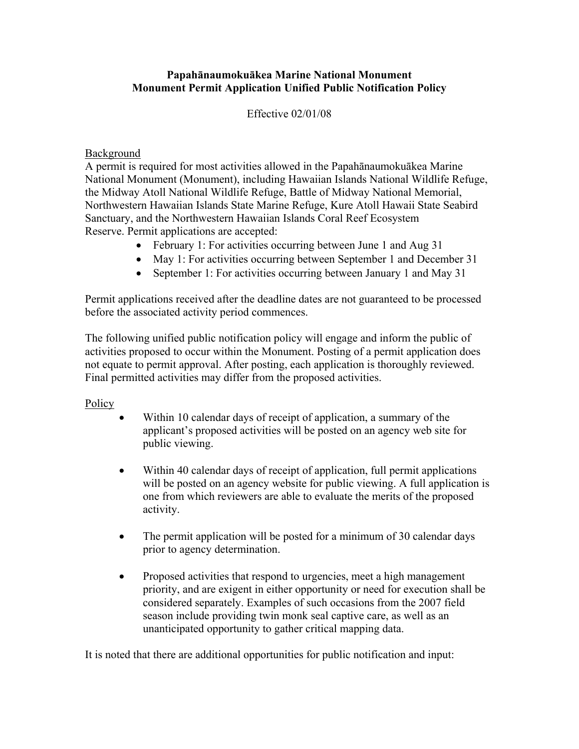## **Papahānaumokuākea Marine National Monument Monument Permit Application Unified Public Notification Policy**

## Effective 02/01/08

## Background

A permit is required for most activities allowed in the Papahānaumokuākea Marine National Monument (Monument), including Hawaiian Islands National Wildlife Refuge, the Midway Atoll National Wildlife Refuge, Battle of Midway National Memorial, Northwestern Hawaiian Islands State Marine Refuge, Kure Atoll Hawaii State Seabird Sanctuary, and the Northwestern Hawaiian Islands Coral Reef Ecosystem Reserve. Permit applications are accepted:

- February 1: For activities occurring between June 1 and Aug 31
- May 1: For activities occurring between September 1 and December 31
- September 1: For activities occurring between January 1 and May 31

Permit applications received after the deadline dates are not guaranteed to be processed before the associated activity period commences.

The following unified public notification policy will engage and inform the public of activities proposed to occur within the Monument. Posting of a permit application does not equate to permit approval. After posting, each application is thoroughly reviewed. Final permitted activities may differ from the proposed activities.

## **Policy**

- Within 10 calendar days of receipt of application, a summary of the applicant's proposed activities will be posted on an agency web site for public viewing.
- Within 40 calendar days of receipt of application, full permit applications will be posted on an agency website for public viewing. A full application is one from which reviewers are able to evaluate the merits of the proposed activity.
- The permit application will be posted for a minimum of 30 calendar days prior to agency determination.
- Proposed activities that respond to urgencies, meet a high management priority, and are exigent in either opportunity or need for execution shall be considered separately. Examples of such occasions from the 2007 field season include providing twin monk seal captive care, as well as an unanticipated opportunity to gather critical mapping data.

It is noted that there are additional opportunities for public notification and input: